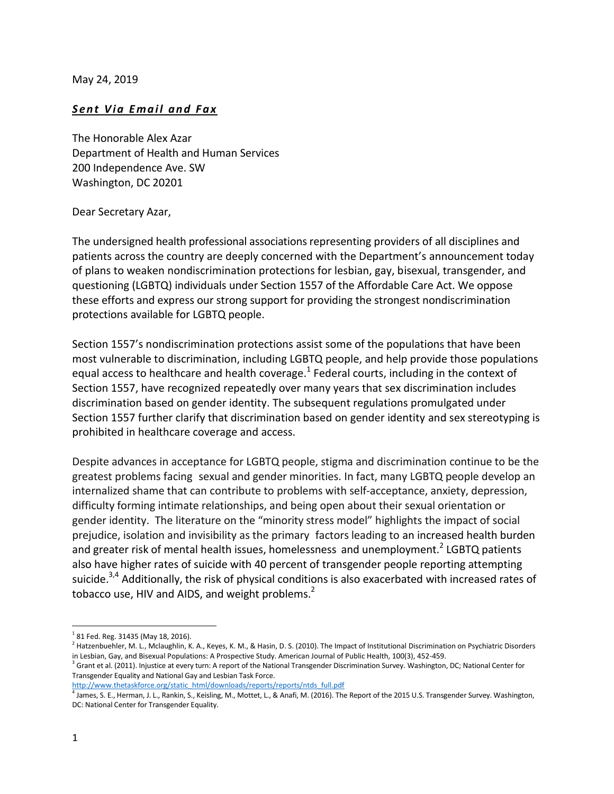May 24, 2019

## **Sent Via Email and Fax**

The Honorable Alex Azar Department of Health and Human Services 200 Independence Ave. SW Washington, DC 20201

## Dear Secretary Azar,

The undersigned health professional associations representing providers of all disciplines and patients across the country are deeply concerned with the Department's announcement today of plans to weaken nondiscrimination protections for lesbian, gay, bisexual, transgender, and questioning (LGBTQ) individuals under Section 1557 of the Affordable Care Act. We oppose these efforts and express our strong support for providing the strongest nondiscrimination protections available for LGBTQ people.

Section 1557's nondiscrimination protections assist some of the populations that have been most vulnerable to discrimination, including LGBTQ people, and help provide those populations equal access to healthcare and health coverage.<sup>1</sup> Federal courts, including in the context of Section 1557, have recognized repeatedly over many years that sex discrimination includes discrimination based on gender identity. The subsequent regulations promulgated under Section 1557 further clarify that discrimination based on gender identity and sex stereotyping is prohibited in healthcare coverage and access.

Despite advances in acceptance for LGBTQ people, stigma and discrimination continue to be the greatest problems facing sexual and gender minorities. In fact, many LGBTQ people develop an internalized shame that can contribute to problems with self-acceptance, anxiety, depression, difficulty forming intimate relationships, and being open about their sexual orientation or gender identity. The literature on the "minority stress model" highlights the impact of social prejudice, isolation and invisibility as the primary factors leading to an increased health burden and greater risk of mental health issues, homelessness and unemployment.<sup>2</sup> LGBTQ patients also have higher rates of suicide with 40 percent of transgender people reporting attempting suicide.<sup>3,4</sup> Additionally, the risk of physical conditions is also exacerbated with increased rates of tobacco use, HIV and AIDS, and weight problems.<sup>2</sup>

l

 $^{1}$  81 Fed. Reg. 31435 (May 18, 2016).

<sup>&</sup>lt;sup>2</sup> Hatzenbuehler, M. L., Mclaughlin, K. A., Keyes, K. M., & Hasin, D. S. (2010). The Impact of Institutional Discrimination on Psychiatric Disorders in Lesbian, Gay, and Bisexual Populations: A Prospective Study. American Journal of Public Health, 100(3), 452-459.

<sup>&</sup>lt;sup>3</sup> Grant et al. (2011). Injustice at every turn: A report of the National Transgender Discrimination Survey. Washington, DC; National Center for Transgender Equality and National Gay and Lesbian Task Force.

[http://www.thetaskforce.org/static\\_html/downloads/reports/reports/ntds\\_full.pdf](http://www.thetaskforce.org/static_html/downloads/reports/reports/ntds_full.pdf)

<sup>4</sup> James, S. E., Herman, J. L., Rankin, S., Keisling, M., Mottet, L., & Anafi, M. (2016). The Report of the 2015 U.S. Transgender Survey. Washington, DC: National Center for Transgender Equality.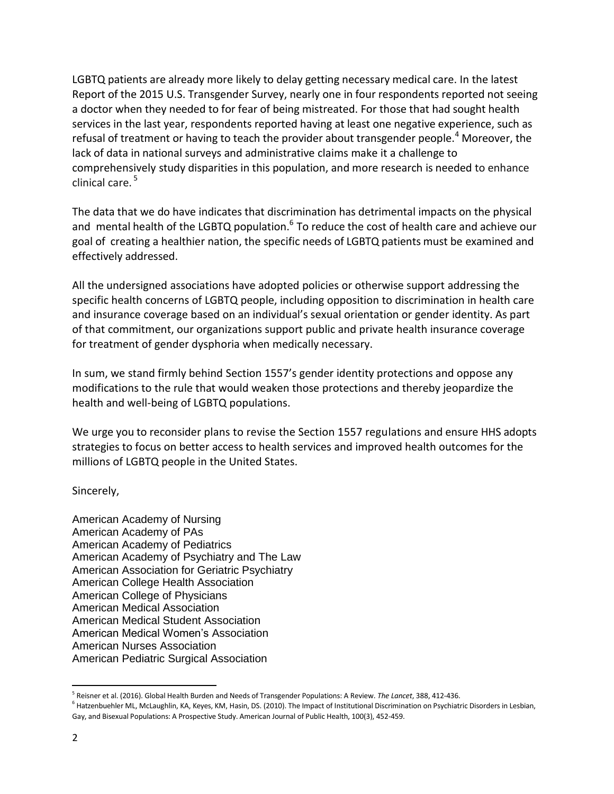LGBTQ patients are already more likely to delay getting necessary medical care. In the latest Report of the 2015 U.S. Transgender Survey, nearly one in four respondents reported not seeing a doctor when they needed to for fear of being mistreated. For those that had sought health services in the last year, respondents reported having at least one negative experience, such as refusal of treatment or having to teach the provider about transgender people.<sup>4</sup> Moreover, the lack of data in national surveys and administrative claims make it a challenge to comprehensively study disparities in this population, and more research is needed to enhance clinical care. 5

The data that we do have indicates that discrimination has detrimental impacts on the physical and mental health of the LGBTQ population.<sup>6</sup> To reduce the cost of health care and achieve our goal of creating a healthier nation, the specific needs of LGBTQ patients must be examined and effectively addressed.

All the undersigned associations have adopted policies or otherwise support addressing the specific health concerns of LGBTQ people, including opposition to discrimination in health care and insurance coverage based on an individual's sexual orientation or gender identity. As part of that commitment, our organizations support public and private health insurance coverage for treatment of gender dysphoria when medically necessary.

In sum, we stand firmly behind Section 1557's gender identity protections and oppose any modifications to the rule that would weaken those protections and thereby jeopardize the health and well-being of LGBTQ populations.

We urge you to reconsider plans to revise the Section 1557 regulations and ensure HHS adopts strategies to focus on better access to health services and improved health outcomes for the millions of LGBTQ people in the United States.

Sincerely,

American Academy of Nursing American Academy of PAs American Academy of Pediatrics American Academy of Psychiatry and The Law American Association for Geriatric Psychiatry American College Health Association American College of Physicians American Medical Association American Medical Student Association American Medical Women's Association American Nurses Association American Pediatric Surgical Association

 $\overline{a}$ 5 Reisner et al. (2016). Global Health Burden and Needs of Transgender Populations: A Review. *The Lancet*, 388, 412-436.

<sup>&</sup>lt;sup>6</sup> Hatzenbuehler ML, McLaughlin, KA, Keyes, KM, Hasin, DS. (2010). The Impact of Institutional Discrimination on Psychiatric Disorders in Lesbian, Gay, and Bisexual Populations: A Prospective Study. American Journal of Public Health, 100(3), 452-459.